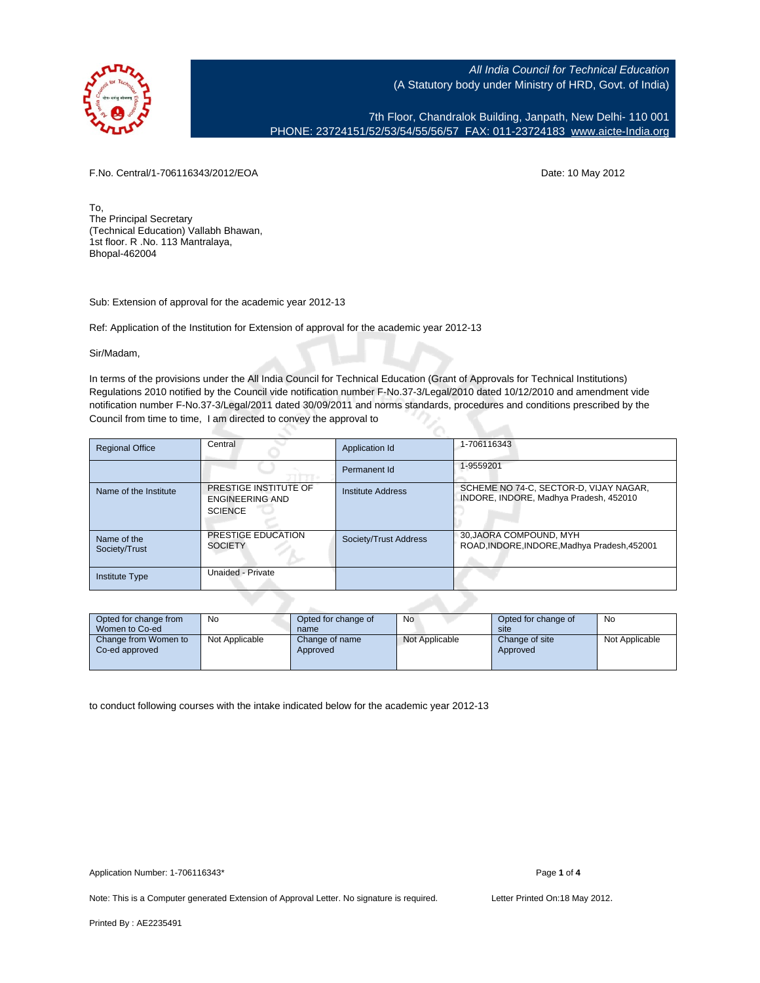

7th Floor, Chandralok Building, Janpath, New Delhi- 110 001 PHONE: 23724151/52/53/54/55/56/57 FAX: 011-23724183 [www.aicte-India.org](http://www.aicte-India.org)

F.No. Central/1-706116343/2012/EOA Date: 10 May 2012

To, The Principal Secretary (Technical Education) Vallabh Bhawan, 1st floor. R .No. 113 Mantralaya, Bhopal-462004

Sub: Extension of approval for the academic year 2012-13

Ref: Application of the Institution for Extension of approval for the academic year 2012-13

Sir/Madam,

In terms of the provisions under the All India Council for Technical Education (Grant of Approvals for Technical Institutions) Regulations 2010 notified by the Council vide notification number F-No.37-3/Legal/2010 dated 10/12/2010 and amendment vide notification number F-No.37-3/Legal/2011 dated 30/09/2011 and norms standards, procedures and conditions prescribed by the Council from time to time, I am directed to convey the approval to

| <b>Regional Office</b>       | Central                                                           | Application Id        | 1-706116343                                                                      |
|------------------------------|-------------------------------------------------------------------|-----------------------|----------------------------------------------------------------------------------|
|                              |                                                                   | Permanent Id          | 1-9559201                                                                        |
| Name of the Institute        | PRESTIGE INSTITUTE OF<br><b>ENGINEERING AND</b><br><b>SCIENCE</b> | Institute Address     | SCHEME NO 74-C. SECTOR-D. VIJAY NAGAR.<br>INDORE, INDORE, Madhya Pradesh, 452010 |
| Name of the<br>Society/Trust | PRESTIGE EDUCATION<br><b>SOCIETY</b>                              | Society/Trust Address | 30, JAORA COMPOUND, MYH<br>ROAD, INDORE, INDORE, Madhya Pradesh, 452001          |
| Institute Type               | Unaided - Private                                                 |                       |                                                                                  |

| Opted for change from<br>Women to Co-ed | No             | Opted for change of<br>name | <b>No</b>      | Opted for change of<br>site | <b>No</b>      |
|-----------------------------------------|----------------|-----------------------------|----------------|-----------------------------|----------------|
| Change from Women to<br>Co-ed approved  | Not Applicable | Change of name<br>Approved  | Not Applicable | Change of site<br>Approved  | Not Applicable |

to conduct following courses with the intake indicated below for the academic year 2012-13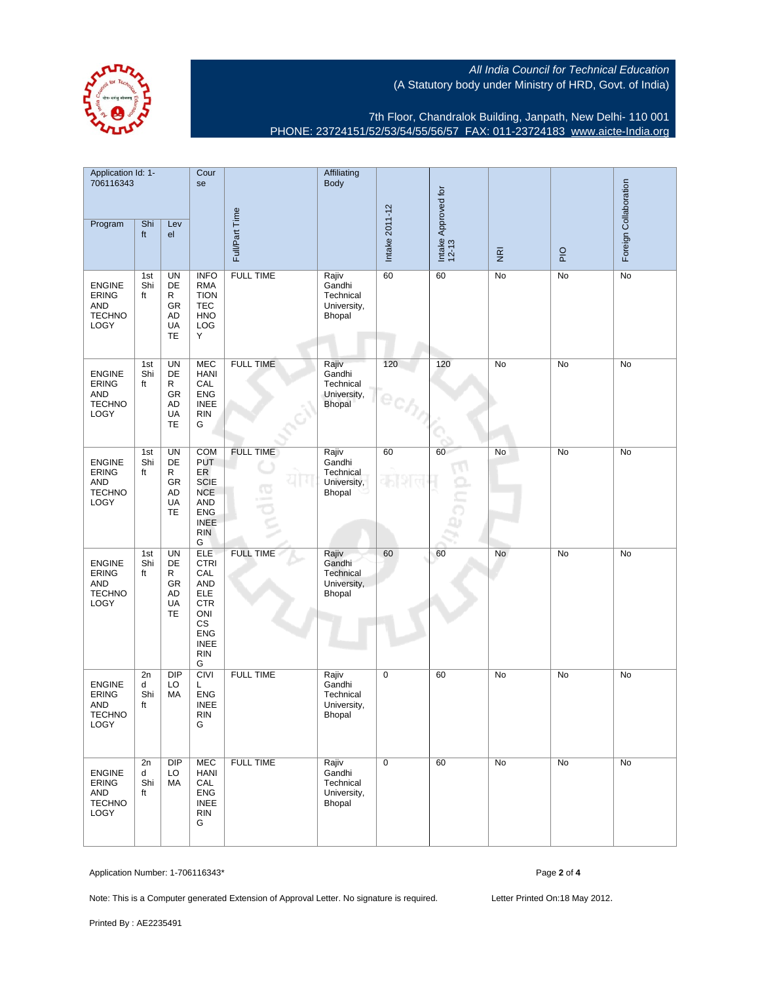

7th Floor, Chandralok Building, Janpath, New Delhi- 110 001 PHONE: 23724151/52/53/54/55/56/57 FAX: 011-23724183 [www.aicte-India.org](http://www.aicte-India.org)

| Application Id: 1-<br>706116343                                      |                      | Cour<br>se                                   |                                                                                                                                               | Affiliating<br><b>Body</b> |                                                              |                |                              |                         | Foreign Collaboration |           |
|----------------------------------------------------------------------|----------------------|----------------------------------------------|-----------------------------------------------------------------------------------------------------------------------------------------------|----------------------------|--------------------------------------------------------------|----------------|------------------------------|-------------------------|-----------------------|-----------|
| Program                                                              | Shi<br>ft            | Lev<br>el                                    |                                                                                                                                               | Full/Part Time             |                                                              | Intake 2011-12 | Intake Approved for<br>12-13 | $\overline{\mathbf{g}}$ | PIO                   |           |
| <b>ENGINE</b><br>ERING<br><b>AND</b><br><b>TECHNO</b><br>LOGY        | 1st<br>Shi<br>ft     | <b>UN</b><br>DE<br>R<br>GR<br>AD<br>UA<br>TE | <b>INFO</b><br><b>RMA</b><br><b>TION</b><br><b>TEC</b><br><b>HNO</b><br>LOG<br>Y                                                              | <b>FULL TIME</b>           | Rajiv<br>Gandhi<br>Technical<br>University,<br>Bhopal        | 60             | 60                           | No                      | No                    | <b>No</b> |
| <b>ENGINE</b><br><b>ERING</b><br><b>AND</b><br><b>TECHNO</b><br>LOGY | 1st<br>Shi<br>ft     | UN<br>DE<br>R<br>GR<br>AD<br>UA<br><b>TE</b> | <b>MEC</b><br><b>HANI</b><br>CAL<br><b>ENG</b><br><b>INEE</b><br><b>RIN</b><br>G                                                              | <b>FULL TIME</b>           | Rajiv<br>Gandhi<br>Technical<br>University,<br><b>Bhopal</b> | 120            | 120                          | No                      | No                    | No        |
| <b>ENGINE</b><br><b>ERING</b><br><b>AND</b><br><b>TECHNO</b><br>LOGY | 1st<br>Shi<br>ft     | <b>UN</b><br>DE<br>R<br>GR<br>AD<br>UA<br>TE | <b>COM</b><br><b>PUT</b><br>ER<br><b>SCIE</b><br><b>NCE</b><br><b>AND</b><br><b>ENG</b><br><b>INEE</b><br><b>RIN</b><br>G                     | <b>FULL TIME</b><br>ιo     | Rajiv<br>Gandhi<br>Technical<br>University,<br>Bhopal        | 60             | 60                           | No                      | No                    | No        |
| <b>ENGINE</b><br><b>ERING</b><br><b>AND</b><br><b>TECHNO</b><br>LOGY | 1st<br>Shi<br>ft     | UN<br>DE<br>R<br>GR<br>AD<br>UA<br>TE        | <b>ELE</b><br><b>CTRI</b><br>CAL<br><b>AND</b><br>ELE<br><b>CTR</b><br>ONI<br>$\mathbb{C}\mathbb{S}$<br>ENG<br><b>INEE</b><br><b>RIN</b><br>G | <b>FULL TIME</b>           | Rajiv<br>Gandhi<br>Technical<br>University,<br>Bhopal        | 60             | 60                           | No                      | No                    | No        |
| <b>ENGINE</b><br><b>ERING</b><br><b>AND</b><br><b>TECHNO</b><br>LOGY | 2n<br>d<br>Shi<br>ft | <b>DIP</b><br>LO<br>МA                       | <b>CIVI</b><br>L<br><b>ENG</b><br><b>INEE</b><br><b>RIN</b><br>G                                                                              | <b>FULL TIME</b>           | Rajiv<br>Gandhi<br>Technical<br>University,<br>Bhopal        | 0              | 60                           | No                      | No                    | No        |
| <b>ENGINE</b><br><b>ERING</b><br>AND<br><b>TECHNO</b><br>LOGY        | 2n<br>d<br>Shi<br>ft | <b>DIP</b><br>LO<br>MA                       | <b>MEC</b><br><b>HANI</b><br>CAL<br><b>ENG</b><br><b>INEE</b><br><b>RIN</b><br>G                                                              | <b>FULL TIME</b>           | Rajiv<br>Gandhi<br>Technical<br>University,<br>Bhopal        | $\mathbf 0$    | 60                           | No                      | No                    | No        |

Application Number: 1-706116343\* Page **2** of **4**

Note: This is a Computer generated Extension of Approval Letter. No signature is required. Letter Printed On:18 May 2012.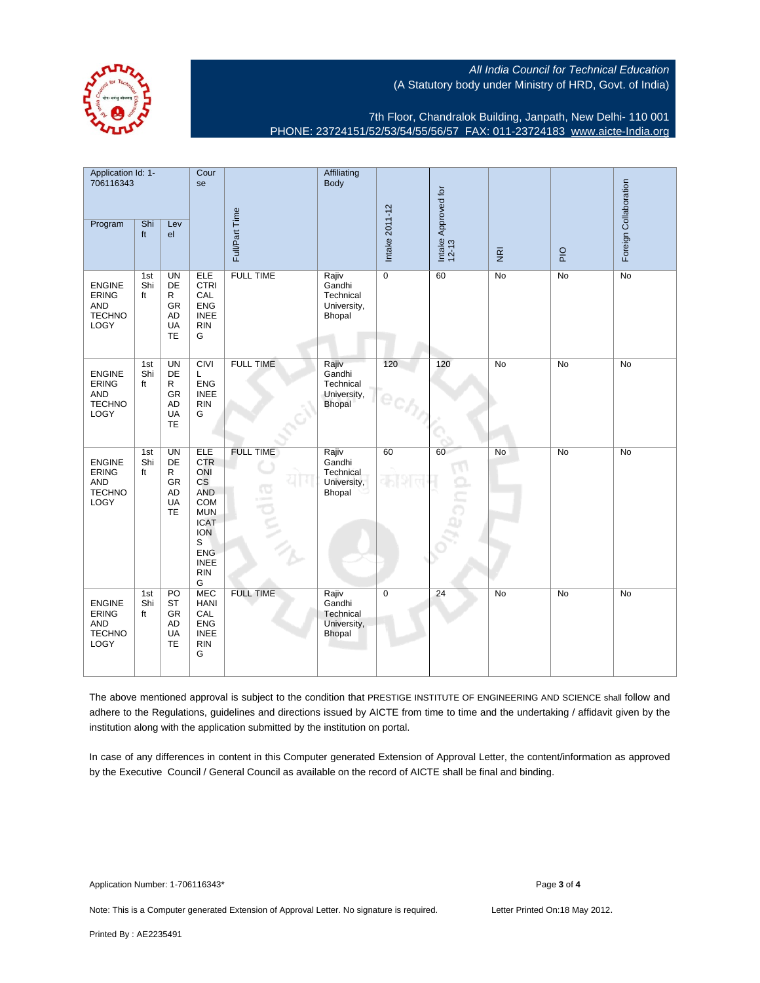

7th Floor, Chandralok Building, Janpath, New Delhi- 110 001 PHONE: 23724151/52/53/54/55/56/57 FAX: 011-23724183 [www.aicte-India.org](http://www.aicte-India.org)

| Application Id: 1-<br>706116343                                      |                  | Cour<br>se                                                        |                                                                                                                                                                                  | Affiliating<br>Body            |                                                              |                |                 |                              |                |             |                       |
|----------------------------------------------------------------------|------------------|-------------------------------------------------------------------|----------------------------------------------------------------------------------------------------------------------------------------------------------------------------------|--------------------------------|--------------------------------------------------------------|----------------|-----------------|------------------------------|----------------|-------------|-----------------------|
| Program                                                              | Shi<br>ft        | Lev<br>el                                                         |                                                                                                                                                                                  |                                | Full/Part Time                                               |                | Intake 2011-12  | Intake Approved for<br>12-13 | $\overline{g}$ | $rac{O}{P}$ | Foreign Collaboration |
| <b>ENGINE</b><br><b>ERING</b><br><b>AND</b><br><b>TECHNO</b><br>LOGY | 1st<br>Shi<br>ft | <b>UN</b><br>DE<br>R<br><b>GR</b><br><b>AD</b><br>UA<br><b>TE</b> | ELE<br><b>CTRI</b><br>CAL<br><b>ENG</b><br><b>INEE</b><br><b>RIN</b><br>G                                                                                                        | <b>FULL TIME</b>               | Rajiv<br>Gandhi<br>Technical<br>University,<br>Bhopal        | $\overline{0}$ | 60              | No                           | No             | No          |                       |
| <b>ENGINE</b><br><b>ERING</b><br><b>AND</b><br><b>TECHNO</b><br>LOGY | 1st<br>Shi<br>ft | <b>UN</b><br>DE<br>R<br>GR<br><b>AD</b><br>UA<br><b>TE</b>        | <b>CIVI</b><br>Г<br><b>ENG</b><br><b>INEE</b><br><b>RIN</b><br>G                                                                                                                 | <b>FULL TIME</b>               | Rajiv<br>Gandhi<br>Technical<br>University,<br><b>Bhopal</b> | 120            | 120             | No                           | No             | No          |                       |
| <b>ENGINE</b><br>ERING<br><b>AND</b><br><b>TECHNO</b><br>LOGY        | 1st<br>Shi<br>ft | <b>UN</b><br>DE<br>R<br><b>GR</b><br><b>AD</b><br>UA<br>TE        | <b>ELE</b><br><b>CTR</b><br>ONI<br>$\mathsf{CS}\phantom{0}$<br><b>AND</b><br>COM<br><b>MUN</b><br><b>ICAT</b><br><b>ION</b><br>S<br><b>ENG</b><br><b>INEE</b><br><b>RIN</b><br>G | <b>FULL TIME</b><br>G<br>ipuli | Rajiv<br>Gandhi<br>Technical<br>University,<br>Bhopal        | 60             | 60<br>늣         | No                           | <b>No</b>      | <b>No</b>   |                       |
| <b>ENGINE</b><br><b>ERING</b><br><b>AND</b><br><b>TECHNO</b><br>LOGY | 1st<br>Shi<br>ft | PO<br><b>ST</b><br>GR<br><b>AD</b><br><b>UA</b><br>TE             | <b>MEC</b><br><b>HANI</b><br>CAL<br><b>ENG</b><br><b>INEE</b><br><b>RIN</b><br>G                                                                                                 | <b>FULL TIME</b>               | Rajiv<br>Gandhi<br>Technical<br>University,<br>Bhopal        | $\pmb{0}$      | $\overline{24}$ | N <sub>o</sub>               | No             | No          |                       |

The above mentioned approval is subject to the condition that PRESTIGE INSTITUTE OF ENGINEERING AND SCIENCE shall follow and adhere to the Regulations, guidelines and directions issued by AICTE from time to time and the undertaking / affidavit given by the institution along with the application submitted by the institution on portal.

In case of any differences in content in this Computer generated Extension of Approval Letter, the content/information as approved by the Executive Council / General Council as available on the record of AICTE shall be final and binding.